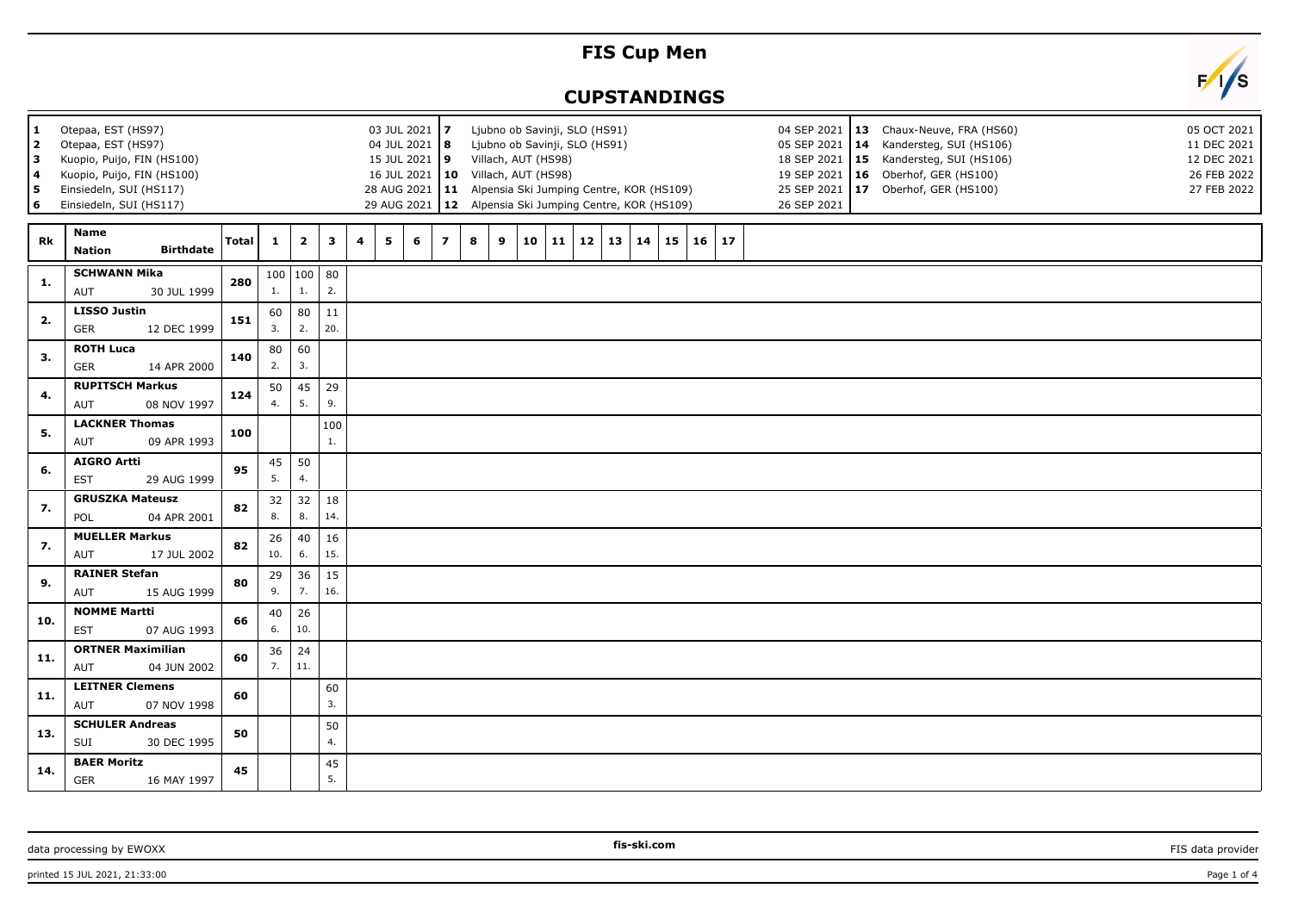## **FIS Cup Men**

## **CUPSTANDINGS**



| Otepaa, EST (HS97)<br>03 JUL 2021 7<br>1<br>$\mathbf{2}$<br>Otepaa, EST (HS97)<br>04 JUL 2021   8<br>Kuopio, Puijo, FIN (HS100)<br>15 JUL 2021 9<br>3<br>Kuopio, Puijo, FIN (HS100)<br>4<br>5<br>Einsiedeln, SUI (HS117)<br>6<br>Einsiedeln, SUI (HS117) |                                                    |              |              |                   |           |   |   |   |                | Ljubno ob Savinji, SLO (HS91)<br>04 SEP 2021<br>13 Chaux-Neuve, FRA (HS60)<br>14 Kandersteg, SUI (HS106)<br>Ljubno ob Savinji, SLO (HS91)<br>05 SEP 2021<br>Villach, AUT (HS98)<br>18 SEP 2021   15 Kandersteg, SUI (HS106)<br>16 JUL 2021   10 Villach, AUT (HS98)<br>19 SEP 2021   16 Oberhof, GER (HS100)<br>28 AUG 2021   11 Alpensia Ski Jumping Centre, KOR (HS109)<br>25 SEP 2021<br>17 Oberhof, GER (HS100)<br>29 AUG 2021   12 Alpensia Ski Jumping Centre, KOR (HS109)<br>26 SEP 2021 |   |    |            |    |    |    |    |  |         |  |  |  | 05 OCT 2021<br>11 DEC 2021<br>12 DEC 2021<br>26 FEB 2022<br>27 FEB 2022 |  |  |  |
|----------------------------------------------------------------------------------------------------------------------------------------------------------------------------------------------------------------------------------------------------------|----------------------------------------------------|--------------|--------------|-------------------|-----------|---|---|---|----------------|-------------------------------------------------------------------------------------------------------------------------------------------------------------------------------------------------------------------------------------------------------------------------------------------------------------------------------------------------------------------------------------------------------------------------------------------------------------------------------------------------|---|----|------------|----|----|----|----|--|---------|--|--|--|-------------------------------------------------------------------------|--|--|--|
| Rk                                                                                                                                                                                                                                                       | Name<br><b>Birthdate</b><br><b>Nation</b>          | <b>Total</b> | $\mathbf{1}$ | $\mathbf{2}$      | 3         | 4 | 5 | 6 | $\overline{ }$ | 8                                                                                                                                                                                                                                                                                                                                                                                                                                                                                               | 9 | 10 | $\vert$ 11 | 12 | 13 | 14 | 15 |  | $16$ 17 |  |  |  |                                                                         |  |  |  |
| 1.                                                                                                                                                                                                                                                       | <b>SCHWANN Mika</b><br>AUT<br>30 JUL 1999          | 280          | 1.           | 100   100  <br>1. | 80<br>2.  |   |   |   |                |                                                                                                                                                                                                                                                                                                                                                                                                                                                                                                 |   |    |            |    |    |    |    |  |         |  |  |  |                                                                         |  |  |  |
| 2.                                                                                                                                                                                                                                                       | <b>LISSO Justin</b><br>GER<br>12 DEC 1999          | 151          | 60<br>3.     | 80<br>2.          | 11<br>20. |   |   |   |                |                                                                                                                                                                                                                                                                                                                                                                                                                                                                                                 |   |    |            |    |    |    |    |  |         |  |  |  |                                                                         |  |  |  |
| 3.                                                                                                                                                                                                                                                       | <b>ROTH Luca</b><br>GER<br>14 APR 2000             | 140          | 80<br>2.     | 60<br>3.          |           |   |   |   |                |                                                                                                                                                                                                                                                                                                                                                                                                                                                                                                 |   |    |            |    |    |    |    |  |         |  |  |  |                                                                         |  |  |  |
| 4.                                                                                                                                                                                                                                                       | <b>RUPITSCH Markus</b><br>08 NOV 1997<br>AUT       | 124          | 50<br>4.     | 45<br>5.          | 29<br>9.  |   |   |   |                |                                                                                                                                                                                                                                                                                                                                                                                                                                                                                                 |   |    |            |    |    |    |    |  |         |  |  |  |                                                                         |  |  |  |
| 5.                                                                                                                                                                                                                                                       | <b>LACKNER Thomas</b><br>AUT<br>09 APR 1993        | 100          |              |                   | 100<br>1. |   |   |   |                |                                                                                                                                                                                                                                                                                                                                                                                                                                                                                                 |   |    |            |    |    |    |    |  |         |  |  |  |                                                                         |  |  |  |
| 6.                                                                                                                                                                                                                                                       | <b>AIGRO Artti</b><br><b>EST</b><br>29 AUG 1999    | 95           | 45<br>5.     | 50<br>4.          |           |   |   |   |                |                                                                                                                                                                                                                                                                                                                                                                                                                                                                                                 |   |    |            |    |    |    |    |  |         |  |  |  |                                                                         |  |  |  |
| 7.                                                                                                                                                                                                                                                       | <b>GRUSZKA Mateusz</b><br>POL<br>04 APR 2001       | 82           | 32<br>8.     | 32<br>8.          | 18<br>14. |   |   |   |                |                                                                                                                                                                                                                                                                                                                                                                                                                                                                                                 |   |    |            |    |    |    |    |  |         |  |  |  |                                                                         |  |  |  |
| 7.                                                                                                                                                                                                                                                       | <b>MUELLER Markus</b><br>17 JUL 2002<br><b>AUT</b> | 82           | 26<br>10.    | 40<br>6.          | 16<br>15. |   |   |   |                |                                                                                                                                                                                                                                                                                                                                                                                                                                                                                                 |   |    |            |    |    |    |    |  |         |  |  |  |                                                                         |  |  |  |
| 9.                                                                                                                                                                                                                                                       | <b>RAINER Stefan</b><br>AUT<br>15 AUG 1999         | 80           | 29<br>9.     | 36<br>7.          | 15<br>16. |   |   |   |                |                                                                                                                                                                                                                                                                                                                                                                                                                                                                                                 |   |    |            |    |    |    |    |  |         |  |  |  |                                                                         |  |  |  |
| 10.                                                                                                                                                                                                                                                      | <b>NOMME Martti</b><br>07 AUG 1993<br><b>EST</b>   | 66           | 40<br>6.     | 26<br>10.         |           |   |   |   |                |                                                                                                                                                                                                                                                                                                                                                                                                                                                                                                 |   |    |            |    |    |    |    |  |         |  |  |  |                                                                         |  |  |  |
| 11.                                                                                                                                                                                                                                                      | <b>ORTNER Maximilian</b><br>AUT<br>04 JUN 2002     | 60           | 36<br>7.     | 24<br>11.         |           |   |   |   |                |                                                                                                                                                                                                                                                                                                                                                                                                                                                                                                 |   |    |            |    |    |    |    |  |         |  |  |  |                                                                         |  |  |  |
| 11.                                                                                                                                                                                                                                                      | <b>LEITNER Clemens</b><br>07 NOV 1998<br>AUT       | 60           |              |                   | 60<br>3.  |   |   |   |                |                                                                                                                                                                                                                                                                                                                                                                                                                                                                                                 |   |    |            |    |    |    |    |  |         |  |  |  |                                                                         |  |  |  |
| 13.                                                                                                                                                                                                                                                      | <b>SCHULER Andreas</b><br>SUI<br>30 DEC 1995       | 50           |              |                   | 50<br>4.  |   |   |   |                |                                                                                                                                                                                                                                                                                                                                                                                                                                                                                                 |   |    |            |    |    |    |    |  |         |  |  |  |                                                                         |  |  |  |
| 14.                                                                                                                                                                                                                                                      | <b>BAER Moritz</b><br><b>GER</b><br>16 MAY 1997    | 45           |              |                   | 45<br>5.  |   |   |   |                |                                                                                                                                                                                                                                                                                                                                                                                                                                                                                                 |   |    |            |    |    |    |    |  |         |  |  |  |                                                                         |  |  |  |

data processing by EWOXX **FIS data provider FIS data provider FIS data provider FIS data provider FIS data provider** 

printed 15 JUL 2021, 21:33:00 Page 1 of 4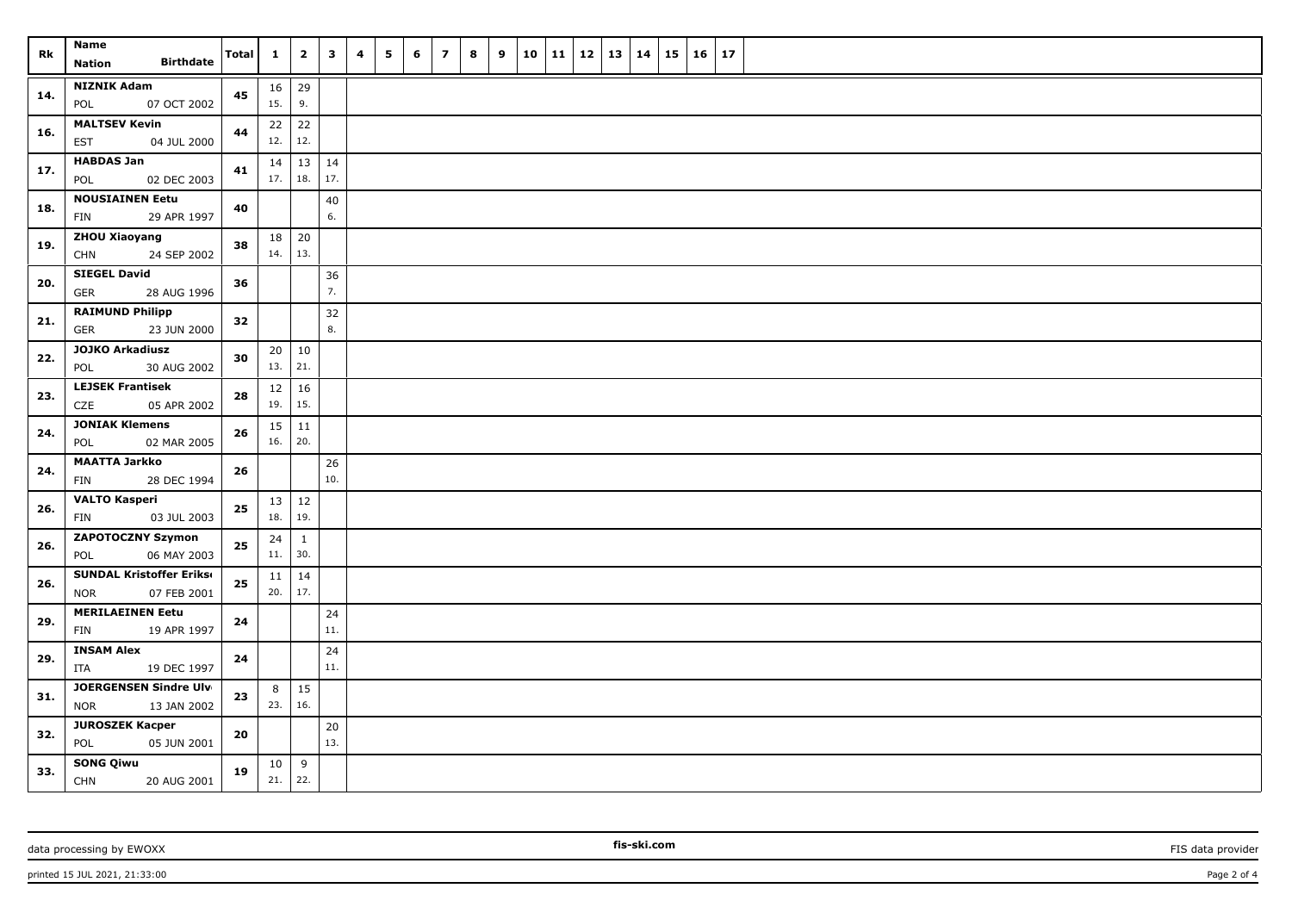| Rk  | Name                                                         | <b>Total</b> | $\mathbf{1}$ | $\overline{\mathbf{2}}$ | $\mathbf{3}$ | 4 | 5 | 6 | $\overline{\mathbf{z}}$ | 8 | 9 | 10 | 11 | 12 | 13 | 14 | 15 | 16 | 17 |  |
|-----|--------------------------------------------------------------|--------------|--------------|-------------------------|--------------|---|---|---|-------------------------|---|---|----|----|----|----|----|----|----|----|--|
|     | <b>Birthdate</b><br><b>Nation</b>                            |              |              |                         |              |   |   |   |                         |   |   |    |    |    |    |    |    |    |    |  |
| 14. | <b>NIZNIK Adam</b><br>07 OCT 2002<br>POL                     | 45           | 16<br>15.    | 29<br>9.                |              |   |   |   |                         |   |   |    |    |    |    |    |    |    |    |  |
| 16. | <b>MALTSEV Kevin</b><br><b>EST</b><br>04 JUL 2000            | 44           | 22<br>12.    | 22<br>12.               |              |   |   |   |                         |   |   |    |    |    |    |    |    |    |    |  |
| 17. | <b>HABDAS Jan</b><br>POL<br>02 DEC 2003                      | 41           | 14<br>17.    | $13 \mid 14$<br>18.     | 17.          |   |   |   |                         |   |   |    |    |    |    |    |    |    |    |  |
| 18. | <b>NOUSIAINEN Eetu</b><br>29 APR 1997<br>FIN                 | 40           |              |                         | 40<br>6.     |   |   |   |                         |   |   |    |    |    |    |    |    |    |    |  |
| 19. | <b>ZHOU Xiaoyang</b><br>24 SEP 2002<br><b>CHN</b>            | 38           | 18<br>14.    | 20<br>13.               |              |   |   |   |                         |   |   |    |    |    |    |    |    |    |    |  |
| 20. | <b>SIEGEL David</b><br>28 AUG 1996<br>GER                    | 36           |              |                         | 36<br>7.     |   |   |   |                         |   |   |    |    |    |    |    |    |    |    |  |
| 21. | <b>RAIMUND Philipp</b><br><b>GER</b><br>23 JUN 2000          | 32           |              |                         | 32<br>8.     |   |   |   |                         |   |   |    |    |    |    |    |    |    |    |  |
| 22. | <b>JOJKO Arkadiusz</b><br>30 AUG 2002<br>POL                 | 30           | 20<br>13.    | 10<br>21.               |              |   |   |   |                         |   |   |    |    |    |    |    |    |    |    |  |
| 23. | <b>LEJSEK Frantisek</b><br>05 APR 2002<br>CZE                | 28           | 12<br>19.    | 16<br>15.               |              |   |   |   |                         |   |   |    |    |    |    |    |    |    |    |  |
| 24. | <b>JONIAK Klemens</b><br>02 MAR 2005<br>POL                  | 26           | 15<br>16.    | 11<br>20.               |              |   |   |   |                         |   |   |    |    |    |    |    |    |    |    |  |
| 24. | <b>MAATTA Jarkko</b><br>28 DEC 1994<br>FIN                   | 26           |              |                         | 26<br>10.    |   |   |   |                         |   |   |    |    |    |    |    |    |    |    |  |
| 26. | <b>VALTO Kasperi</b><br>03 JUL 2003<br>FIN                   | ${\bf 25}$   | 13<br>18.    | 12<br>19.               |              |   |   |   |                         |   |   |    |    |    |    |    |    |    |    |  |
| 26. | <b>ZAPOTOCZNY Szymon</b><br>06 MAY 2003<br>POL               | ${\bf 25}$   | 24<br>11.    | $\mathbf{1}$<br>30.     |              |   |   |   |                         |   |   |    |    |    |    |    |    |    |    |  |
| 26. | <b>SUNDAL Kristoffer Erikse</b><br><b>NOR</b><br>07 FEB 2001 | 25           | 11<br>20.    | 14<br>17.               |              |   |   |   |                         |   |   |    |    |    |    |    |    |    |    |  |
| 29. | <b>MERILAEINEN Eetu</b><br>19 APR 1997<br><b>FIN</b>         | 24           |              |                         | 24<br>11.    |   |   |   |                         |   |   |    |    |    |    |    |    |    |    |  |
| 29. | <b>INSAM Alex</b><br>ITA<br>19 DEC 1997                      | 24           |              |                         | 24<br>11.    |   |   |   |                         |   |   |    |    |    |    |    |    |    |    |  |
| 31. | JOERGENSEN Sindre Ulv<br><b>NOR</b><br>13 JAN 2002           | 23           | 8<br>23.     | 15<br>16.               |              |   |   |   |                         |   |   |    |    |    |    |    |    |    |    |  |
| 32. | <b>JUROSZEK Kacper</b><br>POL<br>05 JUN 2001                 | ${\bf 20}$   |              |                         | 20<br>13.    |   |   |   |                         |   |   |    |    |    |    |    |    |    |    |  |
| 33. | <b>SONG Qiwu</b><br>CHN<br>20 AUG 2001                       | 19           | 10<br>21.    | 9<br>22.                |              |   |   |   |                         |   |   |    |    |    |    |    |    |    |    |  |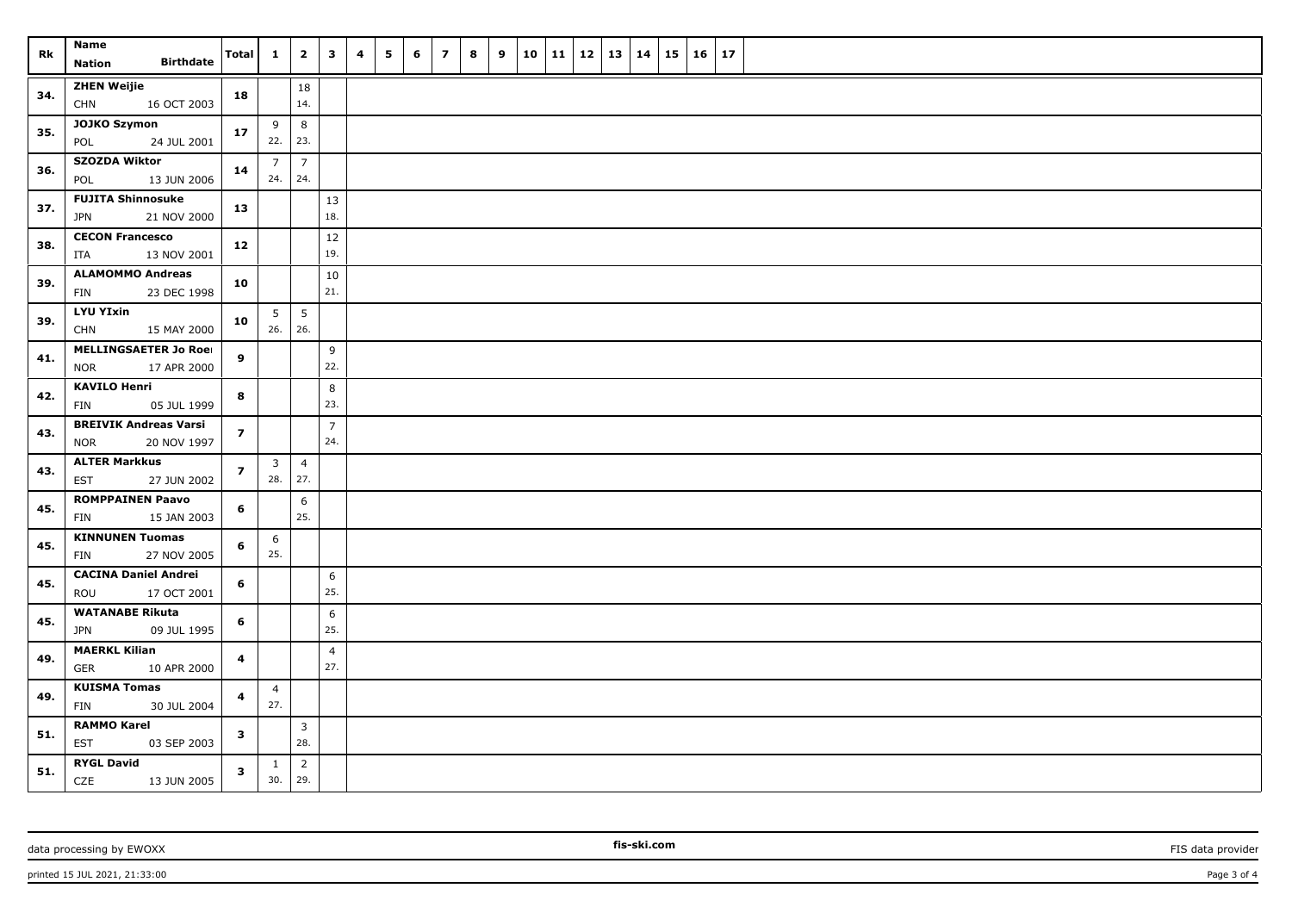| Rk  | Name                                                      | <b>Total</b>            | $\mathbf{1}$                         | $\overline{\mathbf{2}}$ | $\mathbf{3}$          | 4 | 5 | 6 | $\overline{\phantom{a}}$ | 8 | 9 | 10 | 11 | $\vert$ 12 | 13   14 | 15 | 16 | 17 |  |
|-----|-----------------------------------------------------------|-------------------------|--------------------------------------|-------------------------|-----------------------|---|---|---|--------------------------|---|---|----|----|------------|---------|----|----|----|--|
|     | <b>Birthdate</b><br>Nation                                |                         |                                      |                         |                       |   |   |   |                          |   |   |    |    |            |         |    |    |    |  |
| 34. | <b>ZHEN Weijie</b><br><b>CHN</b><br>16 OCT 2003           | 18                      |                                      | 18<br>14.               |                       |   |   |   |                          |   |   |    |    |            |         |    |    |    |  |
| 35. | JOJKO Szymon<br>POL<br>24 JUL 2001                        | 17                      | 9<br>22.   23.                       | 8                       |                       |   |   |   |                          |   |   |    |    |            |         |    |    |    |  |
| 36. | <b>SZOZDA Wiktor</b><br>13 JUN 2006<br>POL                | 14                      | $\overline{7}$<br>$24.$ 24.          | $\overline{7}$          |                       |   |   |   |                          |   |   |    |    |            |         |    |    |    |  |
| 37. | <b>FUJITA Shinnosuke</b><br><b>JPN</b><br>21 NOV 2000     | 13                      |                                      |                         | 13<br>18.             |   |   |   |                          |   |   |    |    |            |         |    |    |    |  |
|     |                                                           |                         |                                      |                         |                       |   |   |   |                          |   |   |    |    |            |         |    |    |    |  |
| 38. | <b>CECON Francesco</b><br>13 NOV 2001<br>ITA              | 12                      |                                      |                         | $12\,$<br>19.         |   |   |   |                          |   |   |    |    |            |         |    |    |    |  |
| 39. | <b>ALAMOMMO Andreas</b><br>23 DEC 1998<br>FIN             | 10                      |                                      |                         | $10\,$<br>21.         |   |   |   |                          |   |   |    |    |            |         |    |    |    |  |
| 39. | <b>LYU YIxin</b><br><b>CHN</b><br>15 MAY 2000             | 10                      | 5<br>$26.$ 26.                       | $5\phantom{.0}$         |                       |   |   |   |                          |   |   |    |    |            |         |    |    |    |  |
|     | <b>MELLINGSAETER Jo Roei</b>                              |                         |                                      |                         | 9                     |   |   |   |                          |   |   |    |    |            |         |    |    |    |  |
| 41. | <b>NOR</b><br>17 APR 2000                                 | 9                       |                                      |                         | 22.                   |   |   |   |                          |   |   |    |    |            |         |    |    |    |  |
| 42. | <b>KAVILO Henri</b><br>FIN<br>05 JUL 1999                 | 8                       |                                      |                         | 8<br>23.              |   |   |   |                          |   |   |    |    |            |         |    |    |    |  |
| 43. | <b>BREIVIK Andreas Varsi</b><br><b>NOR</b><br>20 NOV 1997 | $\overline{z}$          |                                      |                         | $\overline{7}$<br>24. |   |   |   |                          |   |   |    |    |            |         |    |    |    |  |
| 43. | <b>ALTER Markkus</b><br><b>EST</b><br>27 JUN 2002         | $\overline{z}$          | $\overline{\mathbf{3}}$<br>$28.$ 27. | $\overline{4}$          |                       |   |   |   |                          |   |   |    |    |            |         |    |    |    |  |
| 45. | <b>ROMPPAINEN Paavo</b><br>15 JAN 2003<br>FIN             | 6                       |                                      | 6<br>25.                |                       |   |   |   |                          |   |   |    |    |            |         |    |    |    |  |
|     | <b>KINNUNEN Tuomas</b>                                    |                         | 6                                    |                         |                       |   |   |   |                          |   |   |    |    |            |         |    |    |    |  |
| 45. | FIN<br>27 NOV 2005                                        | 6                       | 25.                                  |                         |                       |   |   |   |                          |   |   |    |    |            |         |    |    |    |  |
| 45. | <b>CACINA Daniel Andrei</b><br>ROU<br>17 OCT 2001         | $6\phantom{a}$          |                                      |                         | 6<br>25.              |   |   |   |                          |   |   |    |    |            |         |    |    |    |  |
| 45. | <b>WATANABE Rikuta</b><br><b>JPN</b><br>09 JUL 1995       | 6                       |                                      |                         | 6<br>25.              |   |   |   |                          |   |   |    |    |            |         |    |    |    |  |
| 49. | <b>MAERKL Kilian</b><br><b>GER</b><br>10 APR 2000         | $\overline{\mathbf{4}}$ |                                      |                         | $\overline{4}$<br>27. |   |   |   |                          |   |   |    |    |            |         |    |    |    |  |
|     | <b>KUISMA Tomas</b>                                       |                         | $\overline{4}$                       |                         |                       |   |   |   |                          |   |   |    |    |            |         |    |    |    |  |
| 49. | FIN<br>30 JUL 2004                                        | 4                       | 27.                                  |                         |                       |   |   |   |                          |   |   |    |    |            |         |    |    |    |  |
| 51. | <b>RAMMO Karel</b><br>03 SEP 2003<br><b>EST</b>           | $\mathbf{3}$            |                                      | $\mathbf{3}$<br>28.     |                       |   |   |   |                          |   |   |    |    |            |         |    |    |    |  |
|     | <b>RYGL David</b>                                         |                         | $\mathbf{1}$                         |                         |                       |   |   |   |                          |   |   |    |    |            |         |    |    |    |  |
| 51. | CZE<br>13 JUN 2005                                        | $\mathbf{3}$            | 30.                                  | $\overline{2}$<br>29.   |                       |   |   |   |                          |   |   |    |    |            |         |    |    |    |  |